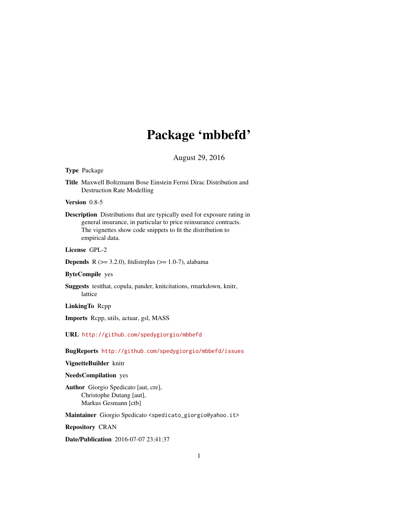## Package 'mbbefd'

August 29, 2016

## <span id="page-0-0"></span>Type Package

Title Maxwell Boltzmann Bose Einstein Fermi Dirac Distribution and Destruction Rate Modelling

Version 0.8-5

Description Distributions that are typically used for exposure rating in general insurance, in particular to price reinsurance contracts. The vignettes show code snippets to fit the distribution to empirical data.

License GPL-2

**Depends** R  $(>= 3.2.0)$ , fitdistrplus  $(>= 1.0-7)$ , alabama

## ByteCompile yes

Suggests testthat, copula, pander, knitcitations, rmarkdown, knitr, lattice

LinkingTo Rcpp

Imports Rcpp, utils, actuar, gsl, MASS

URL <http://github.com/spedygiorgio/mbbefd>

BugReports <http://github.com/spedygiorgio/mbbefd/issues>

## VignetteBuilder knitr

#### NeedsCompilation yes

Author Giorgio Spedicato [aut, cre], Christophe Dutang [aut], Markus Gesmann [ctb]

Maintainer Giorgio Spedicato <spedicato\_giorgio@yahoo.it>

Repository CRAN

Date/Publication 2016-07-07 23:41:37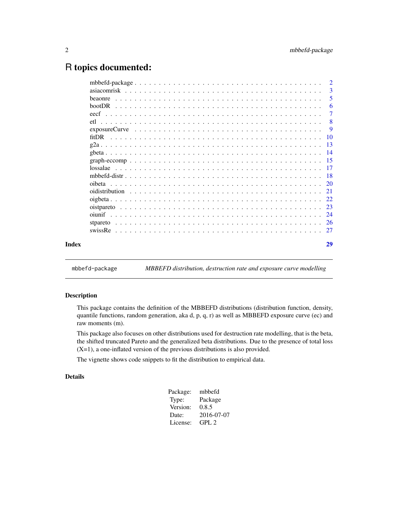## <span id="page-1-0"></span>R topics documented:

|       | $\overline{2}$                                                                                                                    |                |
|-------|-----------------------------------------------------------------------------------------------------------------------------------|----------------|
|       |                                                                                                                                   | -3             |
|       | <b>beaonre</b>                                                                                                                    | 5              |
|       |                                                                                                                                   | 6              |
|       |                                                                                                                                   | $\overline{7}$ |
|       |                                                                                                                                   | 8              |
|       | $\overline{9}$<br>$exposureCurve \dots \dots \dots \dots \dots \dots \dots \dots \dots \dots \dots \dots \dots \dots \dots \dots$ |                |
|       |                                                                                                                                   |                |
|       |                                                                                                                                   |                |
|       |                                                                                                                                   |                |
|       |                                                                                                                                   |                |
|       |                                                                                                                                   |                |
|       |                                                                                                                                   |                |
|       | oibeta                                                                                                                            |                |
|       |                                                                                                                                   |                |
|       |                                                                                                                                   |                |
|       |                                                                                                                                   |                |
|       |                                                                                                                                   |                |
|       |                                                                                                                                   |                |
|       |                                                                                                                                   |                |
| Index |                                                                                                                                   | 29             |
|       |                                                                                                                                   |                |

mbbefd-package *MBBEFD distribution, destruction rate and exposure curve modelling*

## <span id="page-1-1"></span>Description

This package contains the definition of the MBBEFD distributions (distribution function, density, quantile functions, random generation, aka d, p, q, r) as well as MBBEFD exposure curve (ec) and raw moments (m).

This package also focuses on other distributions used for destruction rate modelling, that is the beta, the shifted truncated Pareto and the generalized beta distributions. Due to the presence of total loss (X=1), a one-inflated version of the previous distributions is also provided.

The vignette shows code snippets to fit the distribution to empirical data.

## Details

| Package: | mbbefd     |
|----------|------------|
| Type:    | Package    |
| Version: | 0.8.5      |
| Date:    | 2016-07-07 |
| License: | GPL.2      |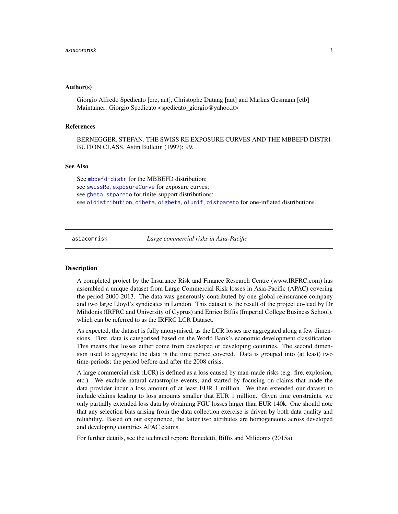#### <span id="page-2-0"></span>Author(s)

Giorgio Alfredo Spedicato [cre, aut], Christophe Dutang [aut] and Markus Gesmann [ctb] Maintainer: Giorgio Spedicato <spedicato\_giorgio@yahoo.it>

#### References

BERNEGGER, STEFAN. THE SWISS RE EXPOSURE CURVES AND THE MBBEFD DISTRI-BUTION CLASS. Astin Bulletin (1997): 99.

#### See Also

See [mbbefd-distr](#page-17-1) for the MBBEFD distribution; see [swissRe](#page-26-1), [exposureCurve](#page-8-1) for exposure curves; see [gbeta](#page-13-1), [stpareto](#page-25-1) for finite-support distributions; see [oidistribution](#page-20-1), [oibeta](#page-19-1), [oigbeta](#page-21-1), [oiunif](#page-23-1), [oistpareto](#page-22-1) for one-inflated distributions.

asiacomrisk *Large commercial risks in Asia-Pacific*

#### Description

A completed project by the Insurance Risk and Finance Research Centre (www.IRFRC.com) has assembled a unique dataset from Large Commercial Risk losses in Asia-Pacific (APAC) covering the period 2000-2013. The data was generously contributed by one global reinsurance company and two large Lloyd's syndicates in London. This dataset is the result of the project co-lead by Dr Milidonis (IRFRC and University of Cyprus) and Enrico Biffis (Imperial College Business School), which can be referred to as the IRFRC LCR Dataset.

As expected, the dataset is fully anonymised, as the LCR losses are aggregated along a few dimensions. First, data is categorised based on the World Bank's economic development classification. This means that losses either come from developed or developing countries. The second dimension used to aggregate the data is the time period covered. Data is grouped into (at least) two time-periods: the period before and after the 2008 crisis.

A large commercial risk (LCR) is defined as a loss caused by man-made risks (e.g. fire, explosion, etc.). We exclude natural catastrophe events, and started by focusing on claims that made the data provider incur a loss amount of at least EUR 1 million. We then extended our dataset to include claims leading to loss amounts smaller that EUR 1 million. Given time constraints, we only partially extended loss data by obtaining FGU losses larger than EUR 140k. One should note that any selection bias arising from the data collection exercise is driven by both data quality and reliability. Based on our experience, the latter two attributes are homogeneous across developed and developing countries APAC claims.

For further details, see the technical report: Benedetti, Biffis and Milidonis (2015a).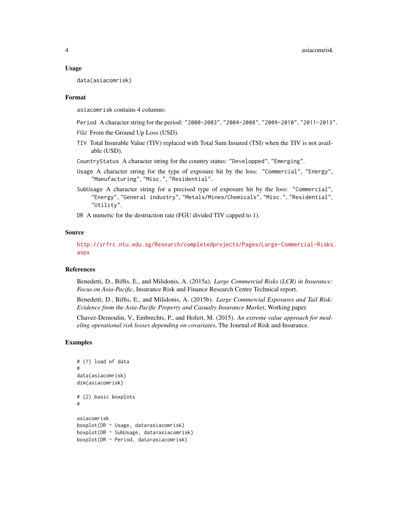#### Usage

data(asiacomrisk)

#### Format

asiacomrisk contains 4 columns:

- Period A character string for the period: "2000-2003", "2004-2008", "2009-2010", "2011-2013".
- FGU From the Ground Up Loss (USD).
- TIV Total Insurable Value (TIV) replaced with Total Sum Insured (TSI) when the TIV is not available (USD).
- CountryStatus A character string for the country status: "Developped", "Emerging".
- Usage A character string for the type of exposure hit by the loss: "Commercial", "Energy", "Manufacturing", "Misc.", "Residential".
- SubUsage A character string for a precised type of exposure hit by the loss: "Commercial", "Energy", "General industry", "Metals/Mines/Chemicals", "Misc.", "Residential", "Utility".

DR A numeric for the destruction rate (FGU divided TIV capped to 1).

#### Source

[http://irfrc.ntu.edu.sg/Research/completedprojects/Pages/Large-Commercial-Risks.](http://irfrc.ntu.edu.sg/Research/completedprojects/Pages/Large-Commercial-Risks.aspx) [aspx](http://irfrc.ntu.edu.sg/Research/completedprojects/Pages/Large-Commercial-Risks.aspx)

#### References

Benedetti, D., Biffis, E., and Milidonis, A. (2015a). *Large Commercial Risks (LCR) in Insurance: Focus on Asia-Pacific*, Insurance Risk and Finance Research Centre Technical report.

Benedetti, D., Biffis, E., and Milidonis, A. (2015b). *Large Commercial Exposures and Tail Risk: Evidence from the Asia-Pacific Property and Casualty Insurance Market*, Working paper.

Chavez-Demoulin, V., Embrechts, P., and Hofert, M. (2015). *An extreme value approach for modeling operational risk losses depending on covariates*, The Journal of Risk and Insurance.

#### Examples

```
# (1) load of data
#
data(asiacomrisk)
dim(asiacomrisk)
# (2) basic boxplots
#
asiacomrisk
boxplot(DR ~ Usage, data=asiacomrisk)
boxplot(DR ~ SubUsage, data=asiacomrisk)
boxplot(DR ~ Period, data=asiacomrisk)
```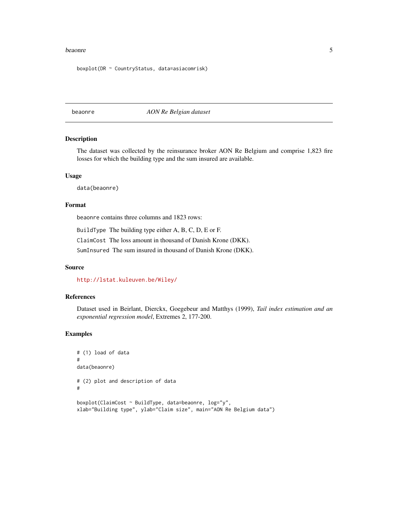#### <span id="page-4-0"></span>beaonre de la Septembre 1990 et de la Gregoria de la Gregoria de la Gregoria de la Gregoria de la Gregoria de la Gregoria de la Gregoria de la Gregoria de la Gregoria de la Gregoria de la Gregoria de la Gregoria de la Greg

boxplot(DR ~ CountryStatus, data=asiacomrisk)

beaonre *AON Re Belgian dataset*

#### Description

The dataset was collected by the reinsurance broker AON Re Belgium and comprise 1,823 fire losses for which the building type and the sum insured are available.

#### Usage

data(beaonre)

#### Format

beaonre contains three columns and 1823 rows:

BuildType The building type either A, B, C, D, E or F.

ClaimCost The loss amount in thousand of Danish Krone (DKK).

SumInsured The sum insured in thousand of Danish Krone (DKK).

#### Source

<http://lstat.kuleuven.be/Wiley/>

#### References

Dataset used in Beirlant, Dierckx, Goegebeur and Matthys (1999), *Tail index estimation and an exponential regression model*, Extremes 2, 177-200.

#### Examples

```
# (1) load of data
#
data(beaonre)
# (2) plot and description of data
#
boxplot(ClaimCost ~ BuildType, data=beaonre, log="y",
xlab="Building type", ylab="Claim size", main="AON Re Belgium data")
```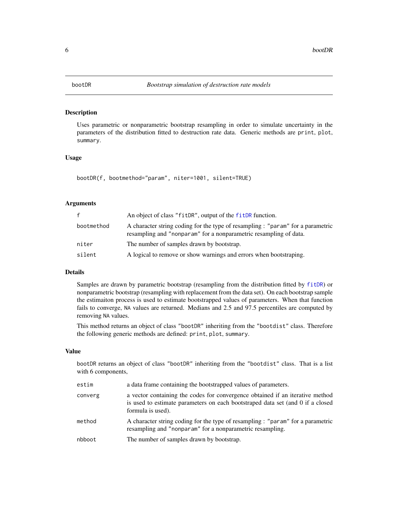<span id="page-5-1"></span><span id="page-5-0"></span>

#### Description

Uses parametric or nonparametric bootstrap resampling in order to simulate uncertainty in the parameters of the distribution fitted to destruction rate data. Generic methods are print, plot, summary.

#### Usage

bootDR(f, bootmethod="param", niter=1001, silent=TRUE)

#### Arguments

| f          | An object of class "fitDR", output of the fitDR function.                                                                                            |
|------------|------------------------------------------------------------------------------------------------------------------------------------------------------|
| bootmethod | A character string coding for the type of resampling : "param" for a parametric<br>resampling and "nonparam" for a nonparametric resampling of data. |
| niter      | The number of samples drawn by bootstrap.                                                                                                            |
| silent     | A logical to remove or show warnings and errors when bootstraping.                                                                                   |

## Details

Samples are drawn by parametric bootstrap (resampling from the distribution fitted by [fitDR](#page-9-1)) or nonparametric bootstrap (resampling with replacement from the data set). On each bootstrap sample the estimaiton process is used to estimate bootstrapped values of parameters. When that function fails to converge, NA values are returned. Medians and 2.5 and 97.5 percentiles are computed by removing NA values.

This method returns an object of class "bootDR" inheriting from the "bootdist" class. Therefore the following generic methods are defined: print, plot, summary.

#### Value

bootDR returns an object of class "bootDR" inheriting from the "bootdist" class. That is a list with 6 components,

| estim   | a data frame containing the bootstrapped values of parameters.                                                                                                                       |
|---------|--------------------------------------------------------------------------------------------------------------------------------------------------------------------------------------|
| converg | a vector containing the codes for convergence obtained if an iterative method<br>is used to estimate parameters on each bootstraped data set (and 0 if a closed<br>formula is used). |
| method  | A character string coding for the type of resampling : "param" for a parametric<br>resampling and "nonparam" for a nonparametric resampling.                                         |
| nbboot  | The number of samples drawn by bootstrap.                                                                                                                                            |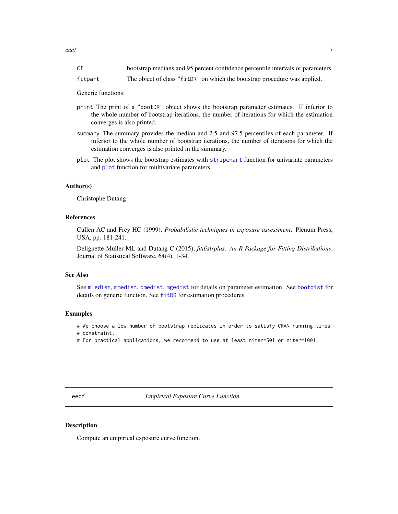<span id="page-6-0"></span>

| $\sim$ $\tau$ | bootstrap medians and 95 percent confidence percentile intervals of parameters. |  |  |
|---------------|---------------------------------------------------------------------------------|--|--|
|               |                                                                                 |  |  |

fitpart The object of class "fitDR" on which the bootstrap procedure was applied.

Generic functions:

- print The print of a "bootDR" object shows the bootstrap parameter estimates. If inferior to the whole number of bootstrap iterations, the number of iterations for which the estimation converges is also printed.
- summary The summary provides the median and 2.5 and 97.5 percentiles of each parameter. If inferior to the whole number of bootstrap iterations, the number of iterations for which the estimation converges is also printed in the summary.
- plot The plot shows the bootstrap estimates with [stripchart](#page-0-0) function for univariate parameters and [plot](#page-0-0) function for multivariate parameters.

#### Author(s)

Christophe Dutang

#### References

Cullen AC and Frey HC (1999), *Probabilistic techniques in exposure assessment*. Plenum Press, USA, pp. 181-241.

Delignette-Muller ML and Dutang C (2015), *fitdistrplus: An R Package for Fitting Distributions*. Journal of Statistical Software, 64(4), 1-34.

## See Also

See [mledist](#page-0-0), [mmedist](#page-0-0), [qmedist](#page-0-0), [mgedist](#page-0-0) for details on parameter estimation. See [bootdist](#page-0-0) for details on generic function. See [fitDR](#page-9-1) for estimation procedures.

#### Examples

# We choose a low number of bootstrap replicates in order to satisfy CRAN running times

- # constraint.
- # For practical applications, we recommend to use at least niter=501 or niter=1001.

<span id="page-6-1"></span>eecf *Empirical Exposure Curve Function*

## Description

Compute an empirical exposure curve function.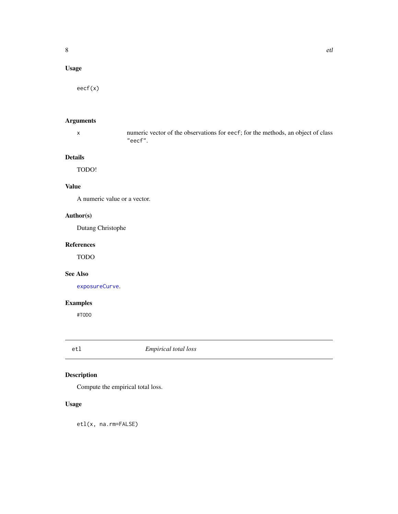## <span id="page-7-0"></span>Usage

eecf(x)

## Arguments

x numeric vector of the observations for eecf; for the methods, an object of class "eecf".

## Details

TODO!

## Value

A numeric value or a vector.

## Author(s)

Dutang Christophe

## References

TODO

## See Also

[exposureCurve](#page-8-1).

## Examples

#TODO

## etl *Empirical total loss*

## Description

Compute the empirical total loss.

## Usage

etl(x, na.rm=FALSE)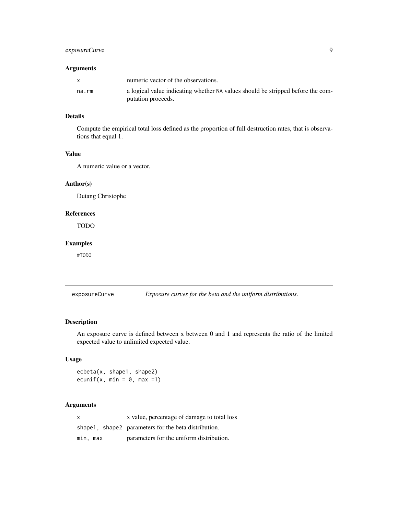## <span id="page-8-0"></span>exposureCurve 9

#### Arguments

|       | numeric vector of the observations.                                                                   |
|-------|-------------------------------------------------------------------------------------------------------|
| na.rm | a logical value indicating whether NA values should be stripped before the com-<br>putation proceeds. |

#### Details

Compute the empirical total loss defined as the proportion of full destruction rates, that is observations that equal 1.

## Value

A numeric value or a vector.

#### Author(s)

Dutang Christophe

## References

TODO

## Examples

#TODO

<span id="page-8-1"></span>exposureCurve *Exposure curves for the beta and the uniform distributions.*

#### Description

An exposure curve is defined between x between 0 and 1 and represents the ratio of the limited expected value to unlimited expected value.

#### Usage

ecbeta(x, shape1, shape2) ecunif(x, min =  $0$ , max =1)

#### Arguments

x x value, percentage of damage to total loss shape1, shape2 parameters for the beta distribution. min, max parameters for the uniform distribution.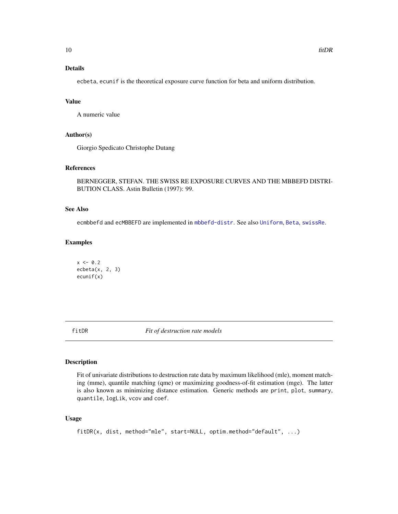## <span id="page-9-0"></span>Details

ecbeta, ecunif is the theoretical exposure curve function for beta and uniform distribution.

## Value

A numeric value

#### Author(s)

Giorgio Spedicato Christophe Dutang

## References

BERNEGGER, STEFAN. THE SWISS RE EXPOSURE CURVES AND THE MBBEFD DISTRI-BUTION CLASS. Astin Bulletin (1997): 99.

#### See Also

ecmbbefd and ecMBBEFD are implemented in [mbbefd-distr](#page-17-1). See also [Uniform](#page-0-0), [Beta](#page-0-0), [swissRe](#page-26-1).

## Examples

 $x < -0.2$  $ecbeta(x, 2, 3)$ ecunif(x)

<span id="page-9-1"></span>fitDR *Fit of destruction rate models*

#### Description

Fit of univariate distributions to destruction rate data by maximum likelihood (mle), moment matching (mme), quantile matching (qme) or maximizing goodness-of-fit estimation (mge). The latter is also known as minimizing distance estimation. Generic methods are print, plot, summary, quantile, logLik, vcov and coef.

#### Usage

```
fitDR(x, dist, method="mle", start=NULL, optim.method="default", ...)
```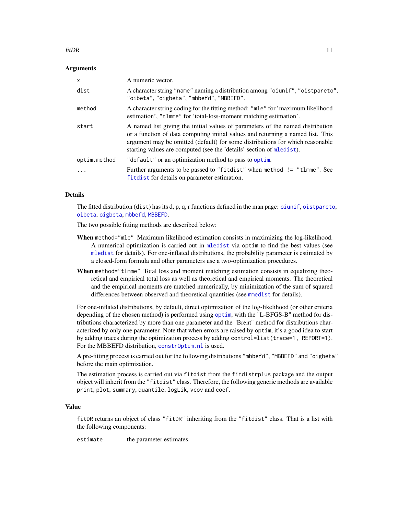#### <span id="page-10-0"></span> $\int$  fit DR  $\int$  11

#### **Arguments**

| $\mathsf{x}$ | A numeric vector.                                                                                                                                                                                                                                                                                                          |
|--------------|----------------------------------------------------------------------------------------------------------------------------------------------------------------------------------------------------------------------------------------------------------------------------------------------------------------------------|
| dist         | A character string "name" naming a distribution among "oiunif", "oistpareto",<br>"oibeta", "oigbeta", "mbbefd", "MBBEFD".                                                                                                                                                                                                  |
| method       | A character string coding for the fitting method: "mle" for 'maximum likelihood<br>estimation', "t1mme" for 'total-loss-moment matching estimation'.                                                                                                                                                                       |
| start        | A named list giving the initial values of parameters of the named distribution<br>or a function of data computing initial values and returning a named list. This<br>argument may be omitted (default) for some distributions for which reasonable<br>starting values are computed (see the 'details' section of mledist). |
| optim.method | "default" or an optimization method to pass to optim.                                                                                                                                                                                                                                                                      |
|              | Further arguments to be passed to "fitdist" when method != "tlmme". See<br>fit dist for details on parameter estimation.                                                                                                                                                                                                   |

#### **Details**

The fitted distribution (dist) has its d, p, q, r functions defined in the man page: [oiunif](#page-23-1), [oistpareto](#page-22-1), [oibeta](#page-19-1), [oigbeta](#page-21-1), [mbbefd](#page-1-1), [MBBEFD](#page-17-2).

The two possible fitting methods are described below:

- When method="mle" Maximum likelihood estimation consists in maximizing the log-likelihood. A numerical optimization is carried out in [mledist](#page-0-0) via optim to find the best values (see [mledist](#page-0-0) for details). For one-inflated distributions, the probability parameter is estimated by a closed-form formula and other parameters use a two-optimization procedures.
- When method="tlmme" Total loss and moment matching estimation consists in equalizing theoretical and empirical total loss as well as theoretical and empirical moments. The theoretical and the empirical moments are matched numerically, by minimization of the sum of squared differences between observed and theoretical quantities (see [mmedist](#page-0-0) for details).

For one-inflated distributions, by default, direct optimization of the log-likelihood (or other criteria depending of the chosen method) is performed using [optim](#page-0-0), with the "L-BFGS-B" method for distributions characterized by more than one parameter and the "Brent" method for distributions characterized by only one parameter. Note that when errors are raised by optim, it's a good idea to start by adding traces during the optimization process by adding control=list(trace=1, REPORT=1). For the MBBEFD distribution, [constrOptim.nl](#page-0-0) is used.

A pre-fitting process is carried out for the following distributions "mbbefd", "MBBEFD" and "oigbeta" before the main optimization.

The estimation process is carried out via fitdist from the fitdistrplus package and the output object will inherit from the "fitdist" class. Therefore, the following generic methods are available print, plot, summary, quantile, logLik, vcov and coef.

## Value

fitDR returns an object of class "fitDR" inheriting from the "fitdist" class. That is a list with the following components:

estimate the parameter estimates.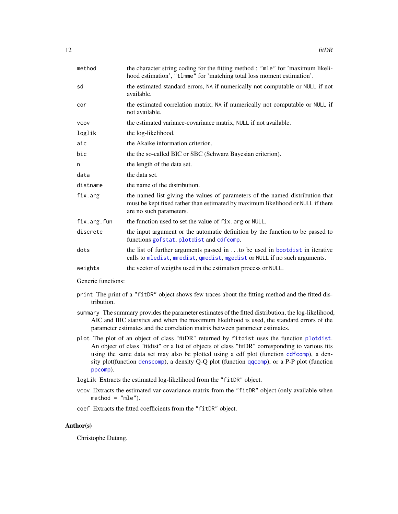<span id="page-11-0"></span>

| method      | the character string coding for the fitting method : "mle" for 'maximum likeli-<br>hood estimation', "t1mme" for 'matching total loss moment estimation'.                                   |
|-------------|---------------------------------------------------------------------------------------------------------------------------------------------------------------------------------------------|
| sd          | the estimated standard errors, NA if numerically not computable or NULL if not<br>available.                                                                                                |
| cor         | the estimated correlation matrix, NA if numerically not computable or NULL if<br>not available.                                                                                             |
| <b>VCOV</b> | the estimated variance-covariance matrix, NULL if not available.                                                                                                                            |
| loglik      | the log-likelihood.                                                                                                                                                                         |
| aic         | the Akaike information criterion.                                                                                                                                                           |
| bic         | the the so-called BIC or SBC (Schwarz Bayesian criterion).                                                                                                                                  |
| n           | the length of the data set.                                                                                                                                                                 |
| data        | the data set.                                                                                                                                                                               |
| distname    | the name of the distribution.                                                                                                                                                               |
| fix.arg     | the named list giving the values of parameters of the named distribution that<br>must be kept fixed rather than estimated by maximum likelihood or NULL if there<br>are no such parameters. |
| fix.arg.fun | the function used to set the value of fix. arg or NULL.                                                                                                                                     |
| discrete    | the input argument or the automatic definition by the function to be passed to<br>functions gofstat, plotdist and cdfcomp.                                                                  |
| dots        | the list of further arguments passed in to be used in bootdist in iterative<br>calls to mledist, mmedist, qmedist, mgedist or NULL if no such arguments.                                    |
| weights     | the vector of weigths used in the estimation process or NULL.                                                                                                                               |

Generic functions:

- print The print of a "fitDR" object shows few traces about the fitting method and the fitted distribution.
- summary The summary provides the parameter estimates of the fitted distribution, the log-likelihood, AIC and BIC statistics and when the maximum likelihood is used, the standard errors of the parameter estimates and the correlation matrix between parameter estimates.
- plot The plot of an object of class "fitDR" returned by fitdist uses the function [plotdist](#page-0-0). An object of class "fitdist" or a list of objects of class "fitDR" corresponding to various fits using the same data set may also be plotted using a cdf plot (function [cdfcomp](#page-0-0)), a density plot(function [denscomp](#page-0-0)), a density Q-Q plot (function [qqcomp](#page-0-0)), or a P-P plot (function [ppcomp](#page-0-0)).

logLik Extracts the estimated log-likelihood from the "fitDR" object.

- vcov Extracts the estimated var-covariance matrix from the "fitDR" object (only available when  $method = "mle".$
- coef Extracts the fitted coefficients from the "fitDR" object.

#### Author(s)

Christophe Dutang.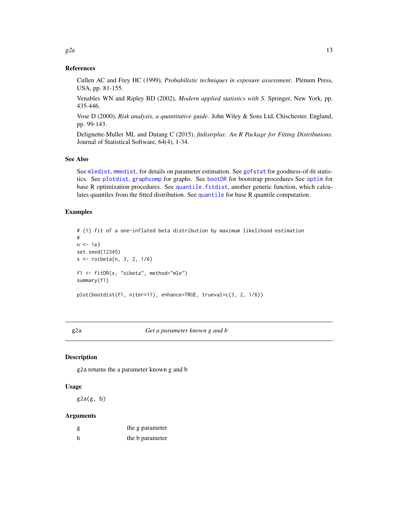#### References

Cullen AC and Frey HC (1999), *Probabilistic techniques in exposure assessment*. Plenum Press, USA, pp. 81-155.

Venables WN and Ripley BD (2002), *Modern applied statistics with S*. Springer, New York, pp. 435-446.

Vose D (2000), *Risk analysis, a quantitative guide*. John Wiley & Sons Ltd, Chischester, England, pp. 99-143.

Delignette-Muller ML and Dutang C (2015), *fitdistrplus: An R Package for Fitting Distributions*. Journal of Statistical Software, 64(4), 1-34.

#### See Also

See [mledist](#page-0-0), [mmedist](#page-0-0), for details on parameter estimation. See [gofstat](#page-0-0) for goodness-of-fit statistics. See [plotdist](#page-0-0), [graphcomp](#page-0-0) for graphs. See [bootDR](#page-5-1) for bootstrap procedures See [optim](#page-0-0) for base R optimization procedures. See [quantile.fitdist](#page-0-0), another generic function, which calculates quantiles from the fitted distribution. See [quantile](#page-0-0) for base R quantile computation.

## Examples

```
# (1) fit of a one-inflated beta distribution by maximum likelihood estimation
#
n <- 1e3
set.seed(12345)
x <- roibeta(n, 3, 2, 1/6)
f1 <- fitDR(x, "oibeta", method="mle")
summary(f1)
plot(bootdist(f1, niter=11), enhance=TRUE, trueval=c(3, 2, 1/6))
```
#### g2a *Get a parameter known g and b*

## Description

g2a returns the a parameter known g and b

#### Usage

 $g2a(g, b)$ 

#### Arguments

| g | the g parameter |
|---|-----------------|
| b | the b parameter |

<span id="page-12-0"></span> $g2a$  and the set of  $\sim$  13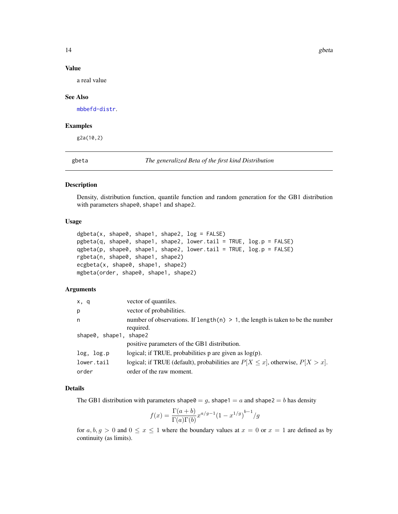## <span id="page-13-0"></span>Value

a real value

### See Also

[mbbefd-distr](#page-17-1).

## Examples

g2a(10,2)

<span id="page-13-1"></span>gbeta *The generalized Beta of the first kind Distribution*

#### Description

Density, distribution function, quantile function and random generation for the GB1 distribution with parameters shape0, shape1 and shape2.

## Usage

```
dgbeta(x, shape0, shape1, shape2, log = FALSE)
pgbeta(q, shape0, shape1, shape2, lower.tail = TRUE, log.p = FALSE)
qgbeta(p, shape0, shape1, shape2, lower.tail = TRUE, log.p = FALSE)
rgbeta(n, shape0, shape1, shape2)
ecgbeta(x, shape0, shape1, shape2)
mgbeta(order, shape0, shape1, shape2)
```
#### Arguments

| x, q                   | vector of quantiles.                                                                 |
|------------------------|--------------------------------------------------------------------------------------|
| p                      | vector of probabilities.                                                             |
| n                      | number of observations. If length(n) $> 1$ , the length is taken to be the number    |
|                        | required.                                                                            |
| shape0, shape1, shape2 |                                                                                      |
|                        | positive parameters of the GB1 distribution.                                         |
| log, log.p             | logical; if TRUE, probabilities $p$ are given as $log(p)$ .                          |
| lower.tail             | logical; if TRUE (default), probabilities are $P[X \le x]$ , otherwise, $P[X > x]$ . |
| order                  | order of the raw moment.                                                             |

## Details

The GB1 distribution with parameters shape $0 = g$ , shape1 = a and shape2 = b has density

$$
f(x) = \frac{\Gamma(a+b)}{\Gamma(a)\Gamma(b)} x^{a/g-1} (1 - x^{1/g})^{b-1} / g
$$

for  $a, b, g > 0$  and  $0 \le x \le 1$  where the boundary values at  $x = 0$  or  $x = 1$  are defined as by continuity (as limits).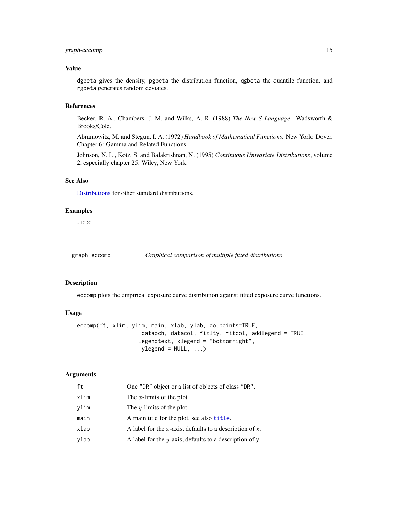## <span id="page-14-0"></span>graph-eccomp 15

#### Value

dgbeta gives the density, pgbeta the distribution function, qgbeta the quantile function, and rgbeta generates random deviates.

#### References

Becker, R. A., Chambers, J. M. and Wilks, A. R. (1988) *The New S Language*. Wadsworth & Brooks/Cole.

Abramowitz, M. and Stegun, I. A. (1972) *Handbook of Mathematical Functions.* New York: Dover. Chapter 6: Gamma and Related Functions.

Johnson, N. L., Kotz, S. and Balakrishnan, N. (1995) *Continuous Univariate Distributions*, volume 2, especially chapter 25. Wiley, New York.

#### See Also

[Distributions](#page-0-0) for other standard distributions.

#### Examples

#TODO

graph-eccomp *Graphical comparison of multiple fitted distributions*

#### Description

eccomp plots the empirical exposure curve distribution against fitted exposure curve functions.

#### Usage

```
eccomp(ft, xlim, ylim, main, xlab, ylab, do.points=TRUE,
                   datapch, datacol, fitlty, fitcol, addlegend = TRUE,
                   legendtext, xlegend = "bottomright",
                   ylegend = NULL, ...
```
## Arguments

| ft   | One "DR" object or a list of objects of class "DR".        |
|------|------------------------------------------------------------|
| xlim | The x-limits of the plot.                                  |
| vlim | The <i>y</i> -limits of the plot.                          |
| main | A main title for the plot, see also title.                 |
| xlab | A label for the x-axis, defaults to a description of x.    |
| ylab | A label for the $y$ -axis, defaults to a description of y. |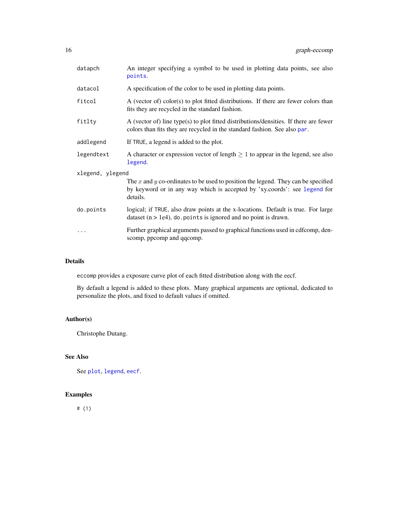<span id="page-15-0"></span>

| datapch          | An integer specifying a symbol to be used in plotting data points, see also<br>points.                                                                                     |  |
|------------------|----------------------------------------------------------------------------------------------------------------------------------------------------------------------------|--|
| datacol          | A specification of the color to be used in plotting data points.                                                                                                           |  |
| fitcol           | A (vector of) color(s) to plot fitted distributions. If there are fewer colors than<br>fits they are recycled in the standard fashion.                                     |  |
| fitlty           | A (vector of) line type(s) to plot fitted distributions/densities. If there are fewer<br>colors than fits they are recycled in the standard fashion. See also par.         |  |
| addlegend        | If TRUE, a legend is added to the plot.                                                                                                                                    |  |
| legendtext       | A character or expression vector of length $\geq 1$ to appear in the legend, see also<br>legend.                                                                           |  |
| xlegend, ylegend |                                                                                                                                                                            |  |
|                  | The x and y co-ordinates to be used to position the legend. They can be specified<br>by keyword or in any way which is accepted by 'xy.coords': see legend for<br>details. |  |
| do.points        | logical; if TRUE, also draw points at the x-locations. Default is true. For large<br>dataset ( $n > 1e4$ ), do points is ignored and no point is drawn.                    |  |
| .                | Further graphical arguments passed to graphical functions used in cdfcomp, den-<br>scomp, ppcomp and qqcomp.                                                               |  |

## Details

eccomp provides a exposure curve plot of each fitted distribution along with the eecf.

By default a legend is added to these plots. Many graphical arguments are optional, dedicated to personalize the plots, and fixed to default values if omitted.

## Author(s)

Christophe Dutang.

## See Also

See [plot](#page-0-0), [legend](#page-0-0), [eecf](#page-6-1).

## Examples

# (1)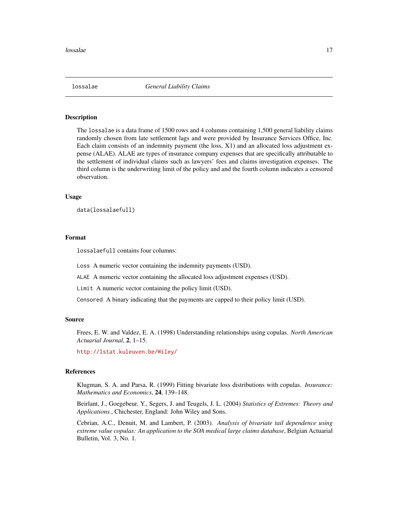<span id="page-16-0"></span>

## Description

The lossalae is a data frame of 1500 rows and 4 columns containing 1,500 general liability claims randomly chosen from late settlement lags and were provided by Insurance Services Office, Inc. Each claim consists of an indemnity payment (the loss, X1) and an allocated loss adjustment expense (ALAE). ALAE are types of insurance company expenses that are specifically attributable to the settlement of individual claims such as lawyers' fees and claims investigation expenses. The third column is the underwriting limit of the policy and and the fourth column indicates a censored observation.

#### Usage

```
data(lossalaefull)
```
#### Format

lossalaefull contains four columns:

Loss A numeric vector containing the indemnity payments (USD).

ALAE A numeric vector containing the allocated loss adjustment expenses (USD).

Limit A numeric vector containing the policy limit (USD).

Censored A binary indicating that the payments are capped to their policy limit (USD).

#### Source

Frees, E. W. and Valdez, E. A. (1998) Understanding relationships using copulas. *North American Actuarial Journal*, 2, 1–15.

<http://lstat.kuleuven.be/Wiley/>

#### References

Klugman, S. A. and Parsa, R. (1999) Fitting bivariate loss distributions with copulas. *Insurance: Mathematics and Economics*, 24, 139–148.

Beirlant, J., Goegebeur, Y., Segers, J. and Teugels, J. L. (2004) *Statistics of Extremes: Theory and Applications.*, Chichester, England: John Wiley and Sons.

Cebrian, A.C., Denuit, M. and Lambert, P. (2003). *Analysis of bivariate tail dependence using extreme value copulas: An application to the SOA medical large claims database*, Belgian Actuarial Bulletin, Vol. 3, No. 1.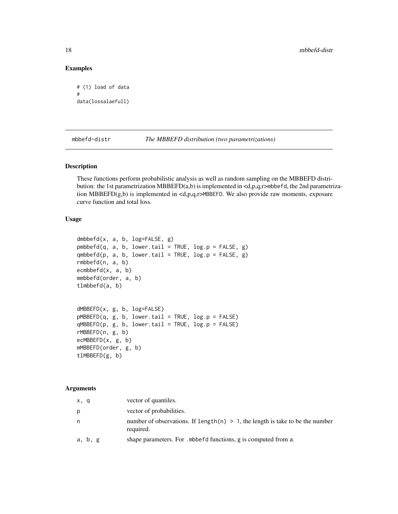#### Examples

```
# (1) load of data
#
data(lossalaefull)
```
<span id="page-17-1"></span>mbbefd-distr *The MBBEFD distribution (two parametrizations)*

#### <span id="page-17-2"></span>Description

These functions perform probabilistic analysis as well as random sampling on the MBBEFD distribution: the 1st parametrization MBBEFD(a,b) is implemented in  $\langle d, p, q, r \rangle$  mbbefd, the 2nd parametrization MBBEFD(g,b) is implemented in <d,p,q,r>MBBEFD. We also provide raw moments, exposure curve function and total loss.

#### Usage

```
dmbbefd(x, a, b, log=FALSE, g)
pmbbefd(q, a, b, lower.tail = TRUE, log.p = FALSE, g)qmbbefd(p, a, b, lower.tail = TRUE, log.p = FALSE, g)rmbbefd(n, a, b)
ecmbbefd(x, a, b)
mmbbefd(order, a, b)
tlmbbefd(a, b)
dMBBEFD(x, g, b, log=FALSE)
pMBBEPD(q, g, b, lower.tail = TRUE, log.p = FALSE)qMBBEFD(p, g, b, lower.tail = TRUE, log.p = FALSE)rMBBEFD(n, g, b)
ecMBBEFD(x, g, b)
mMBBEFD(order, g, b)
tlMBBEFD(g, b)
```
#### Arguments

| x, q    | vector of quantiles.                                                                          |
|---------|-----------------------------------------------------------------------------------------------|
| p       | vector of probabilities.                                                                      |
| n.      | number of observations. If $length(n) > 1$ , the length is take to be the number<br>required. |
| a, b, g | shape parameters. For . mbbefd functions, g is computed from a.                               |

<span id="page-17-0"></span>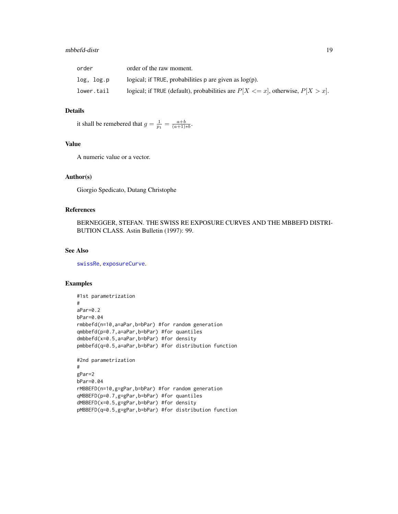#### <span id="page-18-0"></span>mbbefd-distr 19

| order      | order of the raw moment.                                                             |
|------------|--------------------------------------------------------------------------------------|
| log. log.p | logical; if TRUE, probabilities p are given as $log(p)$ .                            |
| lower.tail | logical; if TRUE (default), probabilities are $P[X \le x]$ , otherwise, $P[X > x]$ . |

## Details

it shall be remebered that  $g = \frac{1}{p_1} = \frac{a+b}{(a+1)*b}$ .

## Value

A numeric value or a vector.

#### Author(s)

Giorgio Spedicato, Dutang Christophe

## References

BERNEGGER, STEFAN. THE SWISS RE EXPOSURE CURVES AND THE MBBEFD DISTRI-BUTION CLASS. Astin Bulletin (1997): 99.

## See Also

[swissRe](#page-26-1), [exposureCurve](#page-8-1).

#### Examples

```
#1st parametrization
#
aPar=0.2
bPar=0.04
rmbbefd(n=10,a=aPar,b=bPar) #for random generation
qmbbefd(p=0.7,a=aPar,b=bPar) #for quantiles
dmbbefd(x=0.5,a=aPar,b=bPar) #for density
pmbbefd(q=0.5,a=aPar,b=bPar) #for distribution function
#2nd parametrization
#
gPar=2
bPar=0.04
rMBBEFD(n=10,g=gPar,b=bPar) #for random generation
qMBBEFD(p=0.7,g=gPar,b=bPar) #for quantiles
dMBBEFD(x=0.5,g=gPar,b=bPar) #for density
pMBBEFD(q=0.5,g=gPar,b=bPar) #for distribution function
```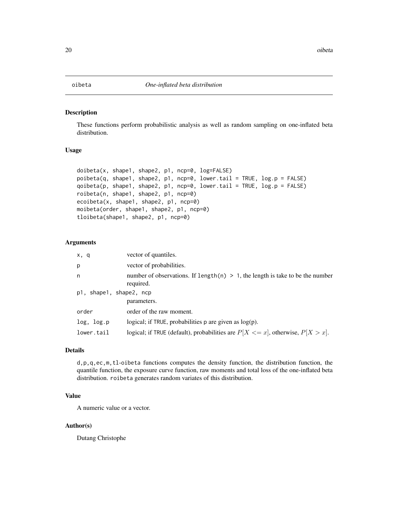<span id="page-19-1"></span><span id="page-19-0"></span>

#### Description

These functions perform probabilistic analysis as well as random sampling on one-inflated beta distribution.

## Usage

```
doibeta(x, shape1, shape2, p1, ncp=0, log=FALSE)
poibeta(q, shape1, shape2, p1, ncp=0, lower.tail = TRUE, log.p = FALSE)
qoibeta(p, shape1, shape2, p1, ncp=0, lower.tail = TRUE, log.p = FALSE)
roibeta(n, shape1, shape2, p1, ncp=0)
ecoibeta(x, shape1, shape2, p1, ncp=0)
moibeta(order, shape1, shape2, p1, ncp=0)
tloibeta(shape1, shape2, p1, ncp=0)
```
## Arguments

| x, q                    | vector of quantiles.                                                                          |
|-------------------------|-----------------------------------------------------------------------------------------------|
| p                       | vector of probabilities.                                                                      |
| n                       | number of observations. If length(n) $> 1$ , the length is take to be the number<br>required. |
| p1, shape1, shape2, ncp |                                                                                               |
|                         | parameters.                                                                                   |
| order                   | order of the raw moment.                                                                      |
| log, log.p              | logical; if $TRUE$ , probabilities p are given as $log(p)$ .                                  |
| lower.tail              | logical; if TRUE (default), probabilities are $P[X \le x]$ , otherwise, $P[X > x]$ .          |

#### Details

d,p,q,ec,m,tl-oibeta functions computes the density function, the distribution function, the quantile function, the exposure curve function, raw moments and total loss of the one-inflated beta distribution. roibeta generates random variates of this distribution.

## Value

A numeric value or a vector.

#### Author(s)

Dutang Christophe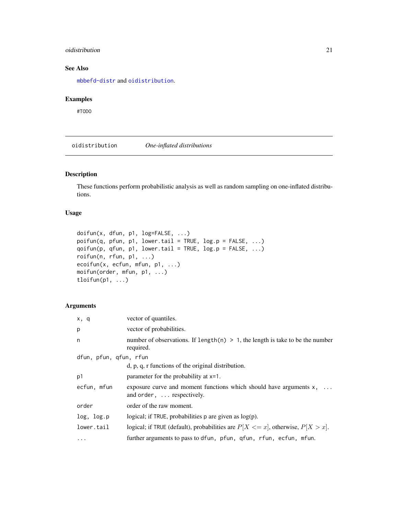#### <span id="page-20-0"></span>oidistribution 21

## See Also

[mbbefd-distr](#page-17-1) and [oidistribution](#page-20-1).

#### Examples

#TODO

<span id="page-20-1"></span>oidistribution *One-inflated distributions*

## Description

These functions perform probabilistic analysis as well as random sampling on one-inflated distributions.

## Usage

```
doifun(x, dfun, p1, log=FALSE, ...)
poifun(q, pfun, p1, lower.tail = TRUE, log.p = FALSE, ...)
qoifun(p, qfun, p1, lower.tail = TRUE, log.p = FALSE, ...)
roifun(n, rfun, p1, ...)
ecoifun(x, ecfun, mfun, p1, ...)
moifun(order, mfun, p1, ...)
tloifun(p1, ...)
```
## Arguments

| x, q                   | vector of quantiles.                                                                               |
|------------------------|----------------------------------------------------------------------------------------------------|
| p                      | vector of probabilities.                                                                           |
| n                      | number of observations. If length(n) $> 1$ , the length is take to be the number<br>required.      |
| dfun, pfun, qfun, rfun |                                                                                                    |
|                        | $d$ , p, q, r functions of the original distribution.                                              |
| p1                     | parameter for the probability at x=1.                                                              |
| ecfun, mfun            | exposure curve and moment functions which should have arguments $x$ ,<br>and order,  respectively. |
| order                  | order of the raw moment.                                                                           |
| log, log.p             | logical; if TRUE, probabilities $p$ are given as $log(p)$ .                                        |
| lower.tail             | logical; if TRUE (default), probabilities are $P[X \le x]$ , otherwise, $P[X > x]$ .               |
| $\cdots$               | further arguments to pass to dfun, pfun, qfun, rfun, ecfun, mfun.                                  |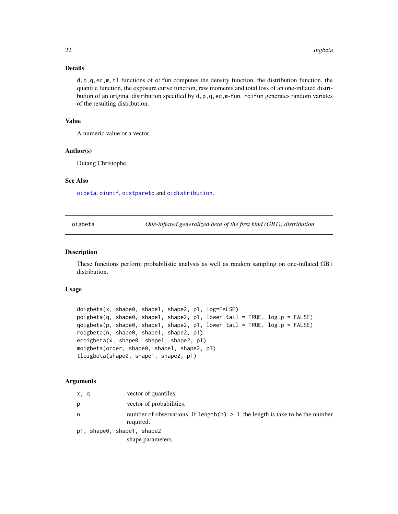## <span id="page-21-0"></span>Details

d,p,q,ec,m,tl functions of oifun computes the density function, the distribution function, the quantile function, the exposure curve function, raw moments and total loss of an one-inflated distribution of an original distribution specified by d,p,q,ec,m-fun. roifun generates random variates of the resulting distribution.

## Value

A numeric value or a vector.

#### Author(s)

Dutang Christophe

## See Also

[oibeta](#page-19-1), [oiunif](#page-23-1), [oistpareto](#page-22-1) and [oidistribution](#page-20-1).

<span id="page-21-1"></span>oigbeta *One-inflated generalized beta of the first kind (GB1)) distribution*

#### Description

These functions perform probabilistic analysis as well as random sampling on one-inflated GB1 distribution.

#### Usage

```
doigbeta(x, shape0, shape1, shape2, p1, log=FALSE)
poigbeta(q, shape0, shape1, shape2, p1, lower.tail = TRUE, log.p = FALSE)
qoigbeta(p, shape0, shape1, shape2, p1, lower.tail = TRUE, log.p = FALSE)
roigbeta(n, shape0, shape1, shape2, p1)
ecoigbeta(x, shape0, shape1, shape2, p1)
moigbeta(order, shape0, shape1, shape2, p1)
tloigbeta(shape0, shape1, shape2, p1)
```
#### Arguments

| x, q | vector of quantiles.                                                                          |
|------|-----------------------------------------------------------------------------------------------|
| р    | vector of probabilities.                                                                      |
| n    | number of observations. If length(n) $> 1$ , the length is take to be the number<br>required. |
|      | p1, shape0, shape1, shape2                                                                    |
|      | shape parameters.                                                                             |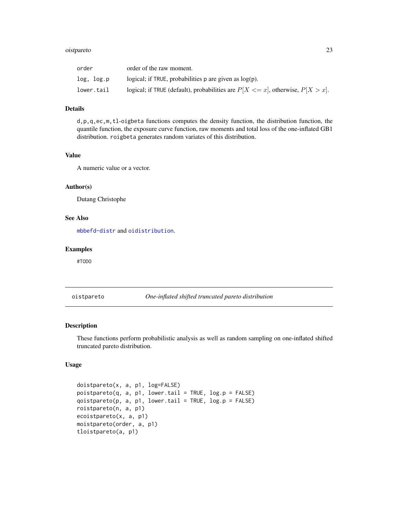#### <span id="page-22-0"></span>oistpareto 23

| order      | order of the raw moment.                                                             |
|------------|--------------------------------------------------------------------------------------|
| log. log.p | logical; if TRUE, probabilities $p$ are given as $log(p)$ .                          |
| lower.tail | logical; if TRUE (default), probabilities are $P[X \le x]$ , otherwise, $P[X > x]$ . |

## Details

d,p,q,ec,m,tl-oigbeta functions computes the density function, the distribution function, the quantile function, the exposure curve function, raw moments and total loss of the one-inflated GB1 distribution. roigbeta generates random variates of this distribution.

## Value

A numeric value or a vector.

#### Author(s)

Dutang Christophe

## See Also

[mbbefd-distr](#page-17-1) and [oidistribution](#page-20-1).

## Examples

#TODO

<span id="page-22-1"></span>oistpareto *One-inflated shifted truncated pareto distribution*

## Description

These functions perform probabilistic analysis as well as random sampling on one-inflated shifted truncated pareto distribution.

#### Usage

```
doistpareto(x, a, p1, log=FALSE)
poistpareto(q, a, p1, lower.tail = TRUE, log.p = FALSE)
qoistpareto(p, a, p1, lower.tail = TRUE, log.p = FALSE)
roistpareto(n, a, p1)
ecoistpareto(x, a, p1)
moistpareto(order, a, p1)
tloistpareto(a, p1)
```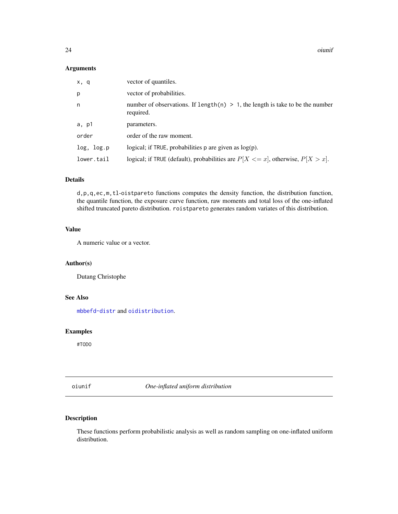<span id="page-23-0"></span>24 oiunif

## Arguments

| x, q       | vector of quantiles.                                                                          |
|------------|-----------------------------------------------------------------------------------------------|
| p          | vector of probabilities.                                                                      |
| n          | number of observations. If length(n) $> 1$ , the length is take to be the number<br>required. |
| a, p1      | parameters.                                                                                   |
| order      | order of the raw moment.                                                                      |
| log, log.p | logical; if TRUE, probabilities $p$ are given as $log(p)$ .                                   |
| lower.tail | logical; if TRUE (default), probabilities are $P[X \le x]$ , otherwise, $P[X > x]$ .          |

#### Details

d,p,q,ec,m,tl-oistpareto functions computes the density function, the distribution function, the quantile function, the exposure curve function, raw moments and total loss of the one-inflated shifted truncated pareto distribution. roistpareto generates random variates of this distribution.

## Value

A numeric value or a vector.

## Author(s)

Dutang Christophe

## See Also

[mbbefd-distr](#page-17-1) and [oidistribution](#page-20-1).

## Examples

#TODO

<span id="page-23-1"></span>oiunif *One-inflated uniform distribution*

## Description

These functions perform probabilistic analysis as well as random sampling on one-inflated uniform distribution.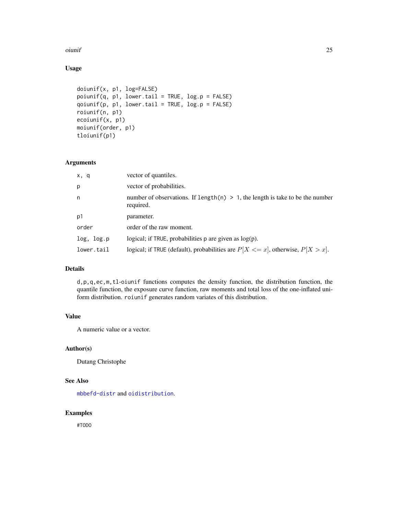#### <span id="page-24-0"></span>oiunif 25

## Usage

```
doiunif(x, p1, log=FALSE)
point(f(q, p1, lower.tail = TRUE, log.p = FALSE)qojunif(p, p1, lower.tail = TRUE, log.p = FALSE)roiunif(n, p1)
ecoiunif(x, p1)
moiunif(order, p1)
tloiunif(p1)
```
#### Arguments

| x, q       | vector of quantiles.                                                                          |
|------------|-----------------------------------------------------------------------------------------------|
| p          | vector of probabilities.                                                                      |
| n          | number of observations. If length(n) $> 1$ , the length is take to be the number<br>required. |
| p1         | parameter.                                                                                    |
| order      | order of the raw moment.                                                                      |
| log, log.p | logical; if TRUE, probabilities $p$ are given as $log(p)$ .                                   |
| lower.tail | logical; if TRUE (default), probabilities are $P[X \le x]$ , otherwise, $P[X > x]$ .          |

## Details

d,p,q,ec,m,tl-oiunif functions computes the density function, the distribution function, the quantile function, the exposure curve function, raw moments and total loss of the one-inflated uniform distribution. roiunif generates random variates of this distribution.

#### Value

A numeric value or a vector.

#### Author(s)

Dutang Christophe

## See Also

[mbbefd-distr](#page-17-1) and [oidistribution](#page-20-1).

## Examples

#TODO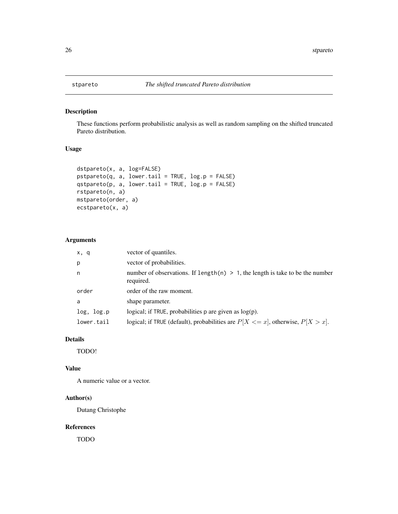<span id="page-25-1"></span><span id="page-25-0"></span>

## Description

These functions perform probabilistic analysis as well as random sampling on the shifted truncated Pareto distribution.

## Usage

```
dstpareto(x, a, log=FALSE)
pstepareto(q, a, lowertail = TRUE, <math>log.p = FALSE)
qstpareto(p, a, lower.tail = TRUE, log.p = FALSE)
rstpareto(n, a)
mstpareto(order, a)
ecstpareto(x, a)
```
### Arguments

| x, q       | vector of quantiles.                                                                          |
|------------|-----------------------------------------------------------------------------------------------|
| p          | vector of probabilities.                                                                      |
| n          | number of observations. If length(n) $> 1$ , the length is take to be the number<br>required. |
| order      | order of the raw moment.                                                                      |
| a          | shape parameter.                                                                              |
| log, log.p | logical; if $TRUE$ , probabilities p are given as $log(p)$ .                                  |
| lower.tail | logical; if TRUE (default), probabilities are $P[X \le x]$ , otherwise, $P[X > x]$ .          |

## Details

TODO!

#### Value

A numeric value or a vector.

## Author(s)

Dutang Christophe

#### References

TODO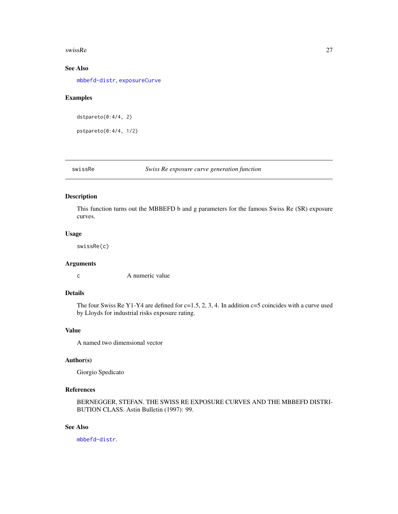#### <span id="page-26-0"></span>swissRe 27

## See Also

[mbbefd-distr](#page-17-1), [exposureCurve](#page-8-1)

#### Examples

dstpareto(0:4/4, 2)

pstpareto(0:4/4, 1/2)

<span id="page-26-1"></span>swissRe *Swiss Re exposure curve generation function*

## Description

This function turns out the MBBEFD b and g parameters for the famous Swiss Re (SR) exposure curves.

## Usage

swissRe(c)

## Arguments

c A numeric value

## Details

The four Swiss Re Y1-Y4 are defined for  $c=1.5, 2, 3, 4$ . In addition  $c=5$  coincides with a curve used by Lloyds for industrial risks exposure rating.

## Value

A named two dimensional vector

## Author(s)

Giorgio Spedicato

## References

BERNEGGER, STEFAN. THE SWISS RE EXPOSURE CURVES AND THE MBBEFD DISTRI-BUTION CLASS. Astin Bulletin (1997): 99.

## See Also

[mbbefd-distr](#page-17-1).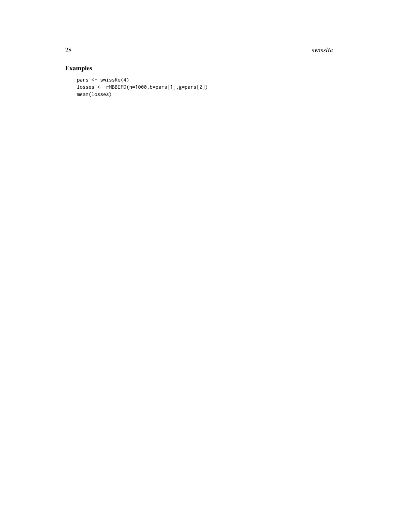28 swissRequires that the contract of the contract of the contract of the contract of the contract of the contract of the contract of the contract of the contract of the contract of the contract of the contract of the con

## Examples

```
pars <- swissRe(4)
losses <- rMBBEFD(n=1000,b=pars[1],g=pars[2])
mean(losses)
```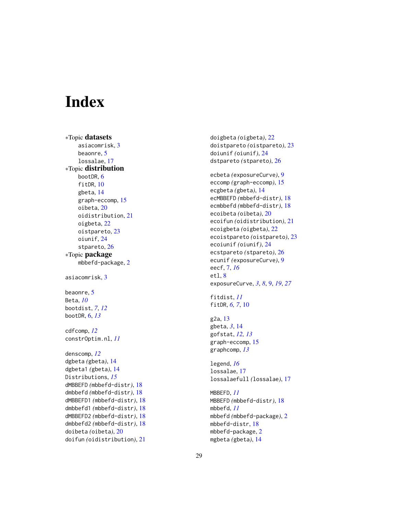# <span id="page-28-0"></span>**Index**

∗Topic datasets asiacomrisk , [3](#page-2-0) beaonre , [5](#page-4-0) lossalae , [17](#page-16-0) ∗Topic distribution bootDR, [6](#page-5-0) fitDR , [10](#page-9-0) gbeta , [14](#page-13-0) graph-eccomp , [15](#page-14-0) oibeta , [20](#page-19-0) oidistribution , [21](#page-20-0) oigbeta , [22](#page-21-0) oistpareto , [23](#page-22-0) oiunif , [24](#page-23-0) stpareto, [26](#page-25-0) ∗Topic package mbbefd-package , [2](#page-1-0) asiacomrisk , [3](#page-2-0) beaonre, [5](#page-4-0) Beta , *[10](#page-9-0)* bootdist , *[7](#page-6-0)* , *[12](#page-11-0)* bootDR , [6](#page-5-0) , *[13](#page-12-0)* cdfcomp , *[12](#page-11-0)* constrOptim.nl , *[11](#page-10-0)* denscomp , *[12](#page-11-0)* dgbeta *(*gbeta *)* , [14](#page-13-0) dgbeta1 *(*gbeta *)* , [14](#page-13-0) Distributions , *[15](#page-14-0)* dMBBEFD *(*mbbefd-distr *)* , [18](#page-17-0) dmbbefd *(*mbbefd-distr *)* , [18](#page-17-0) dMBBEFD1 *(*mbbefd-distr *)* , [18](#page-17-0) dmbbefd1 *(*mbbefd-distr *)* , [18](#page-17-0) dMBBEFD2 *(*mbbefd-distr *)* , [18](#page-17-0) dmbbefd2 *(*mbbefd-distr *)* , [18](#page-17-0) doibeta *(*oibeta *)* , [20](#page-19-0) doifun *(*oidistribution *)* , [21](#page-20-0) doigbeta *(*oigbeta *)* , [22](#page-21-0) doistpareto *(*oistpareto *)* , [23](#page-22-0) doiunif *(*oiunif *)* , [24](#page-23-0) dstpareto *(*stpareto *)* , [26](#page-25-0) ecbeta *(*exposureCurve *)* , [9](#page-8-0) eccomp *(*graph-eccomp *)* , [15](#page-14-0) ecgbeta *(*gbeta *)* , [14](#page-13-0) ecMBBEFD *(*mbbefd-distr *)* , [18](#page-17-0) ecmbbefd *(*mbbefd-distr *)* , [18](#page-17-0) ecoibeta *(*oibeta *)* , [20](#page-19-0) ecoifun *(*oidistribution *)* , [21](#page-20-0) ecoigbeta *(*oigbeta *)* , [22](#page-21-0) ecoistpareto *(*oistpareto *)* , [23](#page-22-0) ecoiunif *(*oiunif *)* , [24](#page-23-0) ecstpareto *(*stpareto *)* , [26](#page-25-0) ecunif *(*exposureCurve *)* , [9](#page-8-0) eecf , [7](#page-6-0) , *[16](#page-15-0)* etl , [8](#page-7-0) exposureCurve, [3](#page-2-0), [8](#page-7-0), [9](#page-8-0), [19](#page-18-0), [27](#page-26-0) fitdist , *[11](#page-10-0)* fitDR, [6,](#page-5-0) [7](#page-6-0), [10](#page-9-0) g2a , [13](#page-12-0) gbeta , *[3](#page-2-0)* , [14](#page-13-0) gofstat , *[12](#page-11-0) , [13](#page-12-0)* graph-eccomp , [15](#page-14-0) graphcomp , *[13](#page-12-0)* legend , *[16](#page-15-0)* lossalae , [17](#page-16-0) lossalaefull *(*lossalae *)* , [17](#page-16-0) MBBEFD , *[11](#page-10-0)* MBBEFD *(*mbbefd-distr *)* , [18](#page-17-0) mbbefd , *[11](#page-10-0)* mbbefd *(*mbbefd-package *)* , [2](#page-1-0) mbbefd-distr , [18](#page-17-0) mbbefd-package , [2](#page-1-0) mgbeta *(*gbeta *)* , [14](#page-13-0)